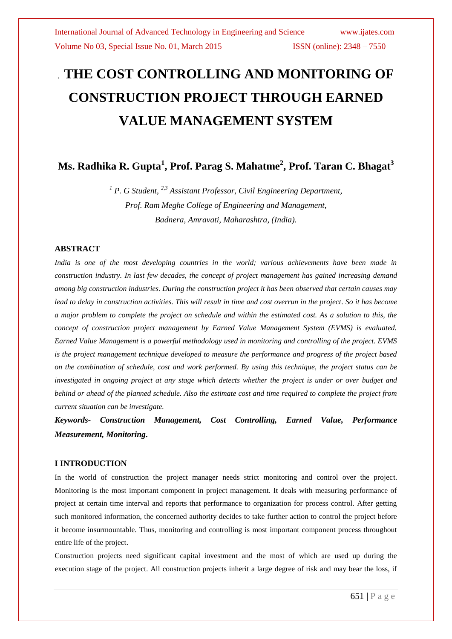# *.* **THE COST CONTROLLING AND MONITORING OF CONSTRUCTION PROJECT THROUGH EARNED VALUE MANAGEMENT SYSTEM**

**Ms. Radhika R. Gupta<sup>1</sup> , Prof. Parag S. Mahatme<sup>2</sup> , Prof. Taran C. Bhagat<sup>3</sup>**

*<sup>1</sup> P. G Student, 2,3 Assistant Professor, Civil Engineering Department, Prof. Ram Meghe College of Engineering and Management, Badnera, Amravati, Maharashtra, (India).*

## **ABSTRACT**

*India is one of the most developing countries in the world; various achievements have been made in construction industry. In last few decades, the concept of project management has gained increasing demand among big construction industries. During the construction project it has been observed that certain causes may lead to delay in construction activities. This will result in time and cost overrun in the project. So it has become a major problem to complete the project on schedule and within the estimated cost. As a solution to this, the concept of construction project management by Earned Value Management System (EVMS) is evaluated. Earned Value Management is a powerful methodology used in monitoring and controlling of the project. EVMS is the project management technique developed to measure the performance and progress of the project based on the combination of schedule, cost and work performed. By using this technique, the project status can be investigated in ongoing project at any stage which detects whether the project is under or over budget and behind or ahead of the planned schedule. Also the estimate cost and time required to complete the project from current situation can be investigate.*

*Keywords- Construction Management, Cost Controlling, Earned Value, Performance Measurement, Monitoring***.**

#### **I INTRODUCTION**

In the world of construction the project manager needs strict monitoring and control over the project. Monitoring is the most important component in project management. It deals with measuring performance of project at certain time interval and reports that performance to organization for process control. After getting such monitored information, the concerned authority decides to take further action to control the project before it become insurmountable. Thus, monitoring and controlling is most important component process throughout entire life of the project.

Construction projects need significant capital investment and the most of which are used up during the execution stage of the project. All construction projects inherit a large degree of risk and may bear the loss, if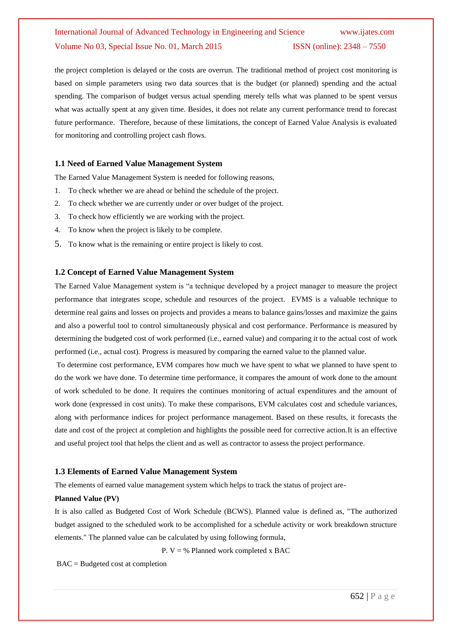# International Journal of Advanced Technology in Engineering and Science www.ijates.com Volume No 03, Special Issue No. 01, March 2015 ISSN (online): 2348 - 7550

the project completion is delayed or the costs are overrun. The traditional method of project cost monitoring is based on simple parameters using two data sources that is the budget (or planned) spending and the actual spending. The comparison of budget versus actual spending merely tells what was planned to be spent versus what was actually spent at any given time. Besides, it does not relate any current performance trend to forecast future performance. Therefore, because of these limitations, the concept of Earned Value Analysis is evaluated for monitoring and controlling project cash flows.

#### **1.1 Need of Earned Value Management System**

The Earned Value Management System is needed for following reasons,

- 1. To check whether we are ahead or behind the schedule of the project.
- 2. To check whether we are currently under or over budget of the project.
- 3. To check how efficiently we are working with the project.
- 4. To know when the project is likely to be complete.
- 5. To know what is the remaining or entire project is likely to cost.

#### **1.2 Concept of Earned Value Management System**

The Earned Value Management system is "a technique developed by a project manager to measure the project performance that integrates scope, schedule and resources of the project. EVMS is a valuable technique to determine real gains and losses on projects and provides a means to balance gains/losses and maximize the gains and also a powerful tool to control simultaneously physical and cost performance. Performance is measured by determining the budgeted cost of work performed (i.e., earned value) and comparing it to the actual cost of work performed (i.e., actual cost). Progress is measured by comparing the earned value to the planned value.

To determine cost performance, EVM compares how much we have spent to what we planned to have spent to do the work we have done. To determine time performance, it compares the amount of work done to the amount of work scheduled to be done. It requires the continues monitoring of actual expenditures and the amount of work done (expressed in cost units). To make these comparisons, EVM calculates cost and schedule variances, along with performance indices for project performance management. Based on these results, it forecasts the date and cost of the project at completion and highlights the possible need for corrective action.It is an effective and useful project tool that helps the client and as well as contractor to assess the project performance.

#### **1.3 Elements of Earned Value Management System**

The elements of earned value management system which helps to track the status of project are-

#### **Planned Value (PV)**

It is also called as Budgeted Cost of Work Schedule (BCWS). Planned value is defined as, "The authorized budget assigned to the scheduled work to be accomplished for a schedule activity or work breakdown structure elements." The planned value can be calculated by using following formula,

P.  $V = \%$  Planned work completed x BAC

BAC = Budgeted cost at completion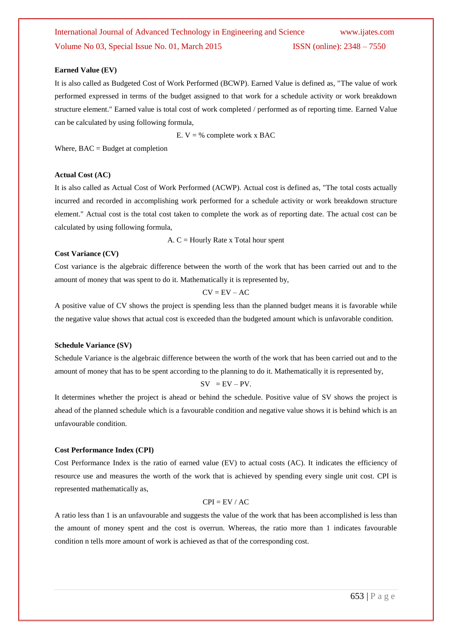#### **Earned Value (EV)**

It is also called as Budgeted Cost of Work Performed (BCWP). Earned Value is defined as, "The value of work performed expressed in terms of the budget assigned to that work for a schedule activity or work breakdown structure element." Earned value is total cost of work completed / performed as of reporting time. Earned Value can be calculated by using following formula,

E.  $V = \%$  complete work x BAC

Where,  $BAC = Budget$  at completion

#### **Actual Cost (AC)**

It is also called as Actual Cost of Work Performed (ACWP). Actual cost is defined as, "The total costs actually incurred and recorded in accomplishing work performed for a schedule activity or work breakdown structure element." Actual cost is the total cost taken to complete the work as of reporting date. The actual cost can be calculated by using following formula,

A.  $C =$  Hourly Rate x Total hour spent

#### **Cost Variance (CV)**

Cost variance is the algebraic difference between the worth of the work that has been carried out and to the amount of money that was spent to do it. Mathematically it is represented by,

$$
CV = EV - AC
$$

A positive value of CV shows the project is spending less than the planned budget means it is favorable while the negative value shows that actual cost is exceeded than the budgeted amount which is unfavorable condition.

#### **Schedule Variance (SV)**

Schedule Variance is the algebraic difference between the worth of the work that has been carried out and to the amount of money that has to be spent according to the planning to do it. Mathematically it is represented by,

$$
SV = EV - PV.
$$

It determines whether the project is ahead or behind the schedule. Positive value of SV shows the project is ahead of the planned schedule which is a favourable condition and negative value shows it is behind which is an unfavourable condition.

#### **Cost Performance Index (CPI)**

Cost Performance Index is the ratio of earned value (EV) to actual costs (AC). It indicates the efficiency of resource use and measures the worth of the work that is achieved by spending every single unit cost. CPI is represented mathematically as,

#### $CPI = EV / AC$

A ratio less than 1 is an unfavourable and suggests the value of the work that has been accomplished is less than the amount of money spent and the cost is overrun. Whereas, the ratio more than 1 indicates favourable condition n tells more amount of work is achieved as that of the corresponding cost.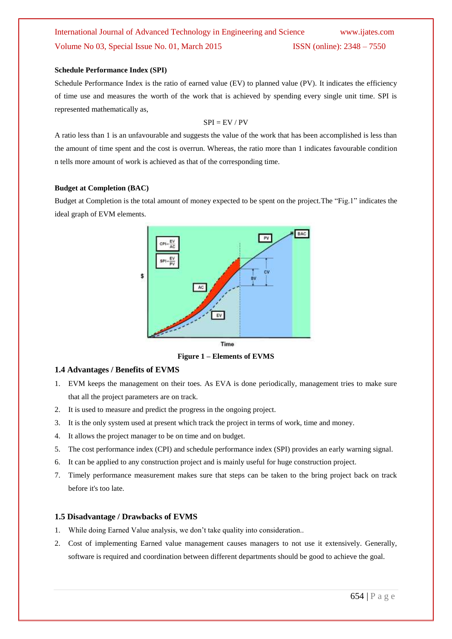# International Journal of Advanced Technology in Engineering and Science www.ijates.com Volume No 03, Special Issue No. 01, March 2015 **ISSN** (online): 2348 – 7550

#### **Schedule Performance Index (SPI)**

Schedule Performance Index is the ratio of earned value (EV) to planned value (PV). It indicates the efficiency of time use and measures the worth of the work that is achieved by spending every single unit time. SPI is represented mathematically as,

#### $SPI = EV / PV$

A ratio less than 1 is an unfavourable and suggests the value of the work that has been accomplished is less than the amount of time spent and the cost is overrun. Whereas, the ratio more than 1 indicates favourable condition n tells more amount of work is achieved as that of the corresponding time.

#### **Budget at Completion (BAC)**

Budget at Completion is the total amount of money expected to be spent on the project.The "Fig.1" indicates the ideal graph of EVM elements.



**Figure 1 – Elements of EVMS**

## **1.4 Advantages / Benefits of EVMS**

- 1. EVM keeps the management on their toes. As EVA is done periodically, management tries to make sure that all the project parameters are on track.
- 2. It is used to measure and predict the progress in the ongoing project.
- 3. It is the only system used at present which track the project in terms of work, time and money.
- 4. It allows the project manager to be on time and on budget.
- 5. The cost performance index (CPI) and schedule performance index (SPI) provides an early warning signal.
- 6. It can be applied to any construction project and is mainly useful for huge construction project.
- 7. Timely performance measurement makes sure that steps can be taken to the bring project back on track before it's too late.

#### **1.5 Disadvantage / Drawbacks of EVMS**

- 1. While doing Earned Value analysis, we don't take quality into consideration..
- 2. Cost of implementing Earned value management causes managers to not use it extensively. Generally, software is required and coordination between different departments should be good to achieve the goal.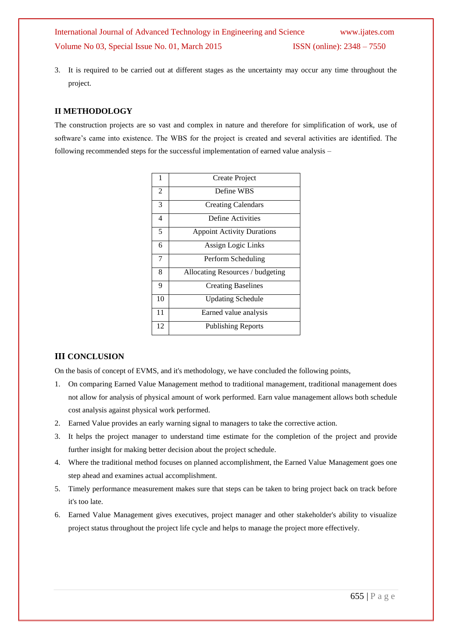3. It is required to be carried out at different stages as the uncertainty may occur any time throughout the project.

# **II METHODOLOGY**

The construction projects are so vast and complex in nature and therefore for simplification of work, use of software's came into existence. The WBS for the project is created and several activities are identified. The following recommended steps for the successful implementation of earned value analysis –

| 1  | Create Project                    |
|----|-----------------------------------|
| 2  | Define WBS                        |
| 3  | <b>Creating Calendars</b>         |
| 4  | Define Activities                 |
| 5  | <b>Appoint Activity Durations</b> |
| 6  | Assign Logic Links                |
| 7  | Perform Scheduling                |
| 8  | Allocating Resources / budgeting  |
| 9  | <b>Creating Baselines</b>         |
| 10 | <b>Updating Schedule</b>          |
| 11 | Earned value analysis             |
| 12 | <b>Publishing Reports</b>         |

# **III CONCLUSION**

On the basis of concept of EVMS, and it's methodology, we have concluded the following points,

- 1. On comparing Earned Value Management method to traditional management, traditional management does not allow for analysis of physical amount of work performed. Earn value management allows both schedule cost analysis against physical work performed.
- 2. Earned Value provides an early warning signal to managers to take the corrective action.
- 3. It helps the project manager to understand time estimate for the completion of the project and provide further insight for making better decision about the project schedule.
- 4. Where the traditional method focuses on planned accomplishment, the Earned Value Management goes one step ahead and examines actual accomplishment.
- 5. Timely performance measurement makes sure that steps can be taken to bring project back on track before it's too late.
- 6. Earned Value Management gives executives, project manager and other stakeholder's ability to visualize project status throughout the project life cycle and helps to manage the project more effectively.